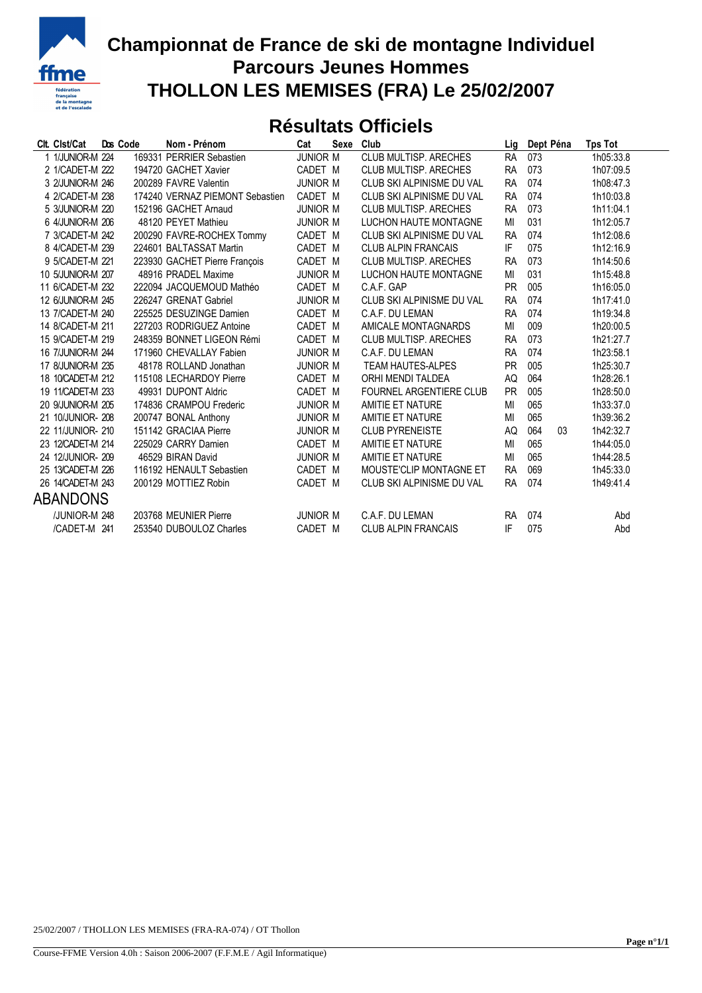

## **Championnat de France de ski de montagne Individuel Parcours Jeunes Hommes THOLLON LES MEMISES (FRA) Le 25/02/2007**

## **Résultats Officiels**

| Clt. Clst/Cat     | Dos Code | Nom - Prénom                    | Cat             | Sexe | Club                         | Lig       | Dept Péna | <b>Tps Tot</b> |
|-------------------|----------|---------------------------------|-----------------|------|------------------------------|-----------|-----------|----------------|
| 1 1/JUNIOR-M 224  |          | 169331 PERRIER Sebastien        | <b>JUNIOR M</b> |      | CLUB MULTISP. ARECHES        | <b>RA</b> | 073       | 1h05:33.8      |
| 2 1/CADET-M 222   |          | 194720 GACHET Xavier            | CADET M         |      | <b>CLUB MULTISP, ARECHES</b> | <b>RA</b> | 073       | 1h07:09.5      |
| 3 2/JUNIOR-M 246  |          | 200289 FAVRE Valentin           | <b>JUNIOR M</b> |      | CLUB SKI ALPINISME DU VAL    | <b>RA</b> | 074       | 1h08:47.3      |
| 4 2/CADET-M 238   |          | 174240 VERNAZ PIEMONT Sebastien | CADET M         |      | CLUB SKI ALPINISME DU VAL    | <b>RA</b> | 074       | 1h10:03.8      |
| 5 3/JUNIOR-M 220  |          | 152196 GACHET Arnaud            | <b>JUNIOR M</b> |      | CLUB MULTISP, ARECHES        | <b>RA</b> | 073       | 1h11:04.1      |
| 6 4/JUNIOR-M 206  |          | 48120 PEYET Mathieu             | <b>JUNIOR M</b> |      | LUCHON HAUTE MONTAGNE        | MI        | 031       | 1h12:05.7      |
| 7 3/CADET-M 242   |          | 200290 FAVRE-ROCHEX Tommy       | CADET M         |      | CLUB SKI ALPINISME DU VAL    | <b>RA</b> | 074       | 1h12:08.6      |
| 8 4/CADET-M 239   |          | 224601 BALTASSAT Martin         | CADET M         |      | <b>CLUB ALPIN FRANCAIS</b>   | IF        | 075       | 1h12:16.9      |
| 9 5/CADET-M 221   |          | 223930 GACHET Pierre François   | CADET M         |      | CLUB MULTISP. ARECHES        | <b>RA</b> | 073       | 1h14:50.6      |
| 10 5/JUNIOR-M 207 |          | 48916 PRADEL Maxime             | <b>JUNIOR M</b> |      | LUCHON HAUTE MONTAGNE        | MI        | 031       | 1h15:48.8      |
| 11 6/CADET-M 232  |          | 222094 JACQUEMOUD Mathéo        | CADET M         |      | C.A.F. GAP                   | <b>PR</b> | 005       | 1h16:05.0      |
| 12 6/JUNIOR-M 245 |          | 226247 GRENAT Gabriel           | <b>JUNIOR M</b> |      | CLUB SKI ALPINISME DU VAL    | <b>RA</b> | 074       | 1h17:41.0      |
| 13 7/CADET-M 240  |          | 225525 DESUZINGE Damien         | CADET M         |      | C.A.F. DU LEMAN              | <b>RA</b> | 074       | 1h19:34.8      |
| 14 8/CADET-M 211  |          | 227203 RODRIGUEZ Antoine        | CADET M         |      | AMICALE MONTAGNARDS          | MI        | 009       | 1h20:00.5      |
| 15 9/CADET-M 219  |          | 248359 BONNET LIGEON Rémi       | CADET M         |      | <b>CLUB MULTISP, ARECHES</b> | <b>RA</b> | 073       | 1h21:27.7      |
| 16 7/JUNIOR-M 244 |          | 171960 CHEVALLAY Fabien         | <b>JUNIOR M</b> |      | C.A.F. DU LEMAN              | <b>RA</b> | 074       | 1h23:58.1      |
| 17 8/JUNIOR-M 235 |          | 48178 ROLLAND Jonathan          | <b>JUNIOR M</b> |      | <b>TEAM HAUTES-ALPES</b>     | <b>PR</b> | 005       | 1h25:30.7      |
| 18 10/CADET-M 212 |          | 115108 LECHARDOY Pierre         | CADET M         |      | ORHI MENDI TALDEA            | AQ        | 064       | 1h28:26.1      |
| 19 11/CADET-M 233 |          | 49931 DUPONT Aldric             | CADET M         |      | FOURNEL ARGENTIERE CLUB      | <b>PR</b> | 005       | 1h28:50.0      |
| 20 9/JUNIOR-M 205 |          | 174836 CRAMPOU Frederic         | <b>JUNIOR M</b> |      | AMITIE ET NATURE             | MI        | 065       | 1h33:37.0      |
| 21 10/JUNIOR-208  |          | 200747 BONAL Anthony            | <b>JUNIOR M</b> |      | AMITIE ET NATURE             | MI        | 065       | 1h39:36.2      |
| 22 11/JUNIOR- 210 |          | 151142 GRACIAA Pierre           | <b>JUNIOR M</b> |      | <b>CLUB PYRENEISTE</b>       | AQ        | 064<br>03 | 1h42:32.7      |
| 23 12/CADET-M 214 |          | 225029 CARRY Damien             | CADET M         |      | AMITIE ET NATURE             | MI        | 065       | 1h44:05.0      |
| 24 12/JUNIOR- 209 |          | 46529 BIRAN David               | <b>JUNIOR M</b> |      | AMITIE ET NATURE             | MI        | 065       | 1h44:28.5      |
| 25 13/CADET-M 226 |          | 116192 HENAULT Sebastien        | CADET M         |      | MOUSTE'CLIP MONTAGNE ET      | <b>RA</b> | 069       | 1h45:33.0      |
| 26 14/CADET-M 243 |          | 200129 MOTTIEZ Robin            | CADET M         |      | CLUB SKI ALPINISME DU VAL    | <b>RA</b> | 074       | 1h49:41.4      |
| ABANDONS          |          |                                 |                 |      |                              |           |           |                |
| /JUNIOR-M 248     |          | 203768 MEUNIER Pierre           | <b>JUNIOR M</b> |      | C.A.F. DU LEMAN              | <b>RA</b> | 074       | Abd            |
| /CADET-M 241      |          | 253540 DUBOULOZ Charles         | CADET M         |      | <b>CLUB ALPIN FRANCAIS</b>   | IF        | 075       | Abd            |